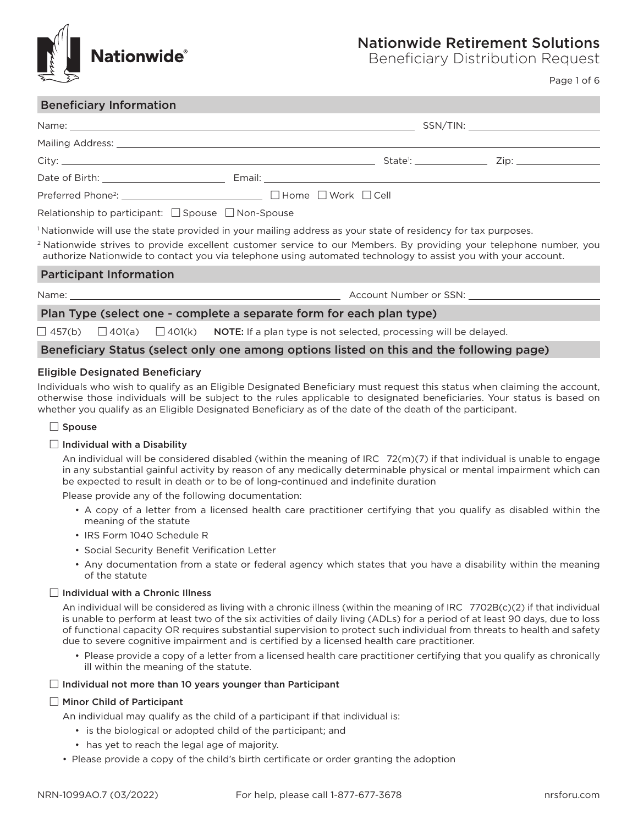

# Nationwide Retirement Solutions

Beneficiary Distribution Request

Page 1 of 6

## Beneficiary Information

| Preferred Phone <sup>2</sup> : <u>__________________________________</u> □ Home □ Work □ Cell                                                                                                                                                  |                                                                                                                          |  |  |  |  |
|------------------------------------------------------------------------------------------------------------------------------------------------------------------------------------------------------------------------------------------------|--------------------------------------------------------------------------------------------------------------------------|--|--|--|--|
|                                                                                                                                                                                                                                                | Relationship to participant: $\Box$ Spouse $\Box$ Non-Spouse                                                             |  |  |  |  |
|                                                                                                                                                                                                                                                | <sup>1</sup> Nationwide will use the state provided in your mailing address as your state of residency for tax purposes. |  |  |  |  |
| <sup>2</sup> Nationwide strives to provide excellent customer service to our Members. By providing your telephone number, you<br>authorize Nationwide to contact you via telephone using automated technology to assist you with your account. |                                                                                                                          |  |  |  |  |
| <b>Participant Information</b>                                                                                                                                                                                                                 |                                                                                                                          |  |  |  |  |
|                                                                                                                                                                                                                                                |                                                                                                                          |  |  |  |  |
| Plan Type (select one - complete a separate form for each plan type)                                                                                                                                                                           |                                                                                                                          |  |  |  |  |
| $\Box$ 457(b) $\Box$ 401(a) $\Box$ 401(k) <b>NOTE:</b> If a plan type is not selected, processing will be delayed.                                                                                                                             |                                                                                                                          |  |  |  |  |
| Beneficiary Status (select only one among options listed on this and the following page)                                                                                                                                                       |                                                                                                                          |  |  |  |  |

## Eligible Designated Beneficiary

Individuals who wish to qualify as an Eligible Designated Beneficiary must request this status when claiming the account, otherwise those individuals will be subject to the rules applicable to designated beneficiaries. Your status is based on whether you qualify as an Eligible Designated Beneficiary as of the date of the death of the participant.

## $\square$  Spouse

## $\Box$  Individual with a Disability

An individual will be considered disabled (within the meaning of IRC 72(m)(7) if that individual is unable to engage in any substantial gainful activity by reason of any medically determinable physical or mental impairment which can be expected to result in death or to be of long-continued and indefinite duration

Please provide any of the following documentation:

- A copy of a letter from a licensed health care practitioner certifying that you qualify as disabled within the meaning of the statute
- IRS Form 1040 Schedule R
- Social Security Benefit Verification Letter
- Any documentation from a state or federal agency which states that you have a disability within the meaning of the statute

#### $\Box$  Individual with a Chronic Illness

An individual will be considered as living with a chronic illness (within the meaning of IRC 7702B(c)(2) if that individual is unable to perform at least two of the six activities of daily living (ADLs) for a period of at least 90 days, due to loss of functional capacity OR requires substantial supervision to protect such individual from threats to health and safety due to severe cognitive impairment and is certified by a licensed health care practitioner.

• Please provide a copy of a letter from a licensed health care practitioner certifying that you qualify as chronically ill within the meaning of the statute.

#### $\Box$  Individual not more than 10 years younger than Participant

## $\Box$  Minor Child of Participant

An individual may qualify as the child of a participant if that individual is:

- is the biological or adopted child of the participant; and
- has yet to reach the legal age of majority.
- Please provide a copy of the child's birth certificate or order granting the adoption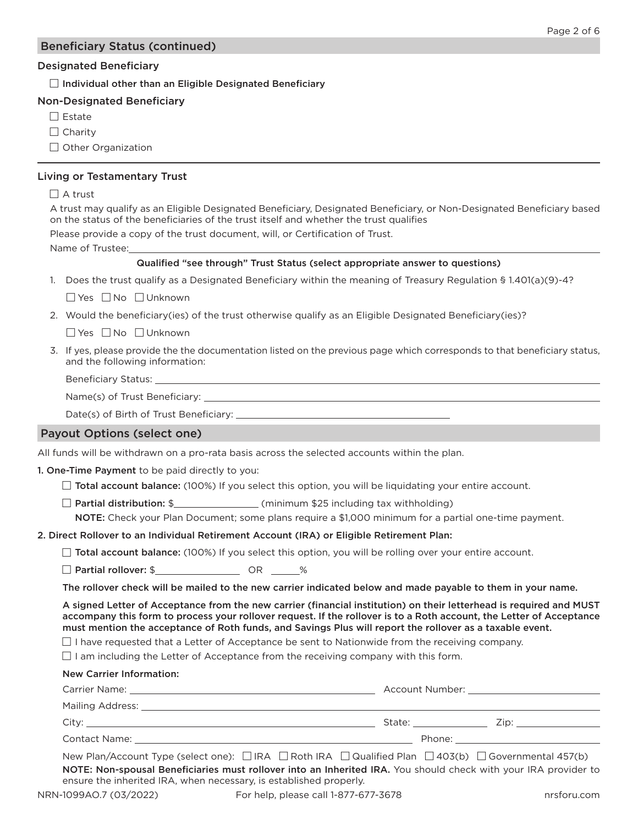## Beneficiary Status (continued)

### Designated Beneficiary

 $\Box$  Individual other than an Eligible Designated Beneficiary

### Non-Designated Beneficiary

- $\Box$  Estate
- $\Box$  Charity

 $\Box$  Other Organization

### Living or Testamentary Trust

#### $\Box$  A trust

A trust may qualify as an Eligible Designated Beneficiary, Designated Beneficiary, or Non-Designated Beneficiary based on the status of the beneficiaries of the trust itself and whether the trust qualifies

Please provide a copy of the trust document, will, or Certification of Trust.

Name of Trustee:

### Qualified "see through" Trust Status (select appropriate answer to questions)

1. Does the trust qualify as a Designated Beneficiary within the meaning of Treasury Regulation § 1.401(a)(9)-4?

 $\Box$  Yes  $\Box$  No  $\Box$  Unknown

2. Would the beneficiary(ies) of the trust otherwise qualify as an Eligible Designated Beneficiary(ies)?

 $\Box$  Yes  $\Box$  No  $\Box$  Unknown

3. If yes, please provide the the documentation listed on the previous page which corresponds to that beneficiary status, and the following information:

Beneficiary Status:

Name(s) of Trust Beneficiary:

Date(s) of Birth of Trust Beneficiary:

#### Payout Options (select one)

All funds will be withdrawn on a pro-rata basis across the selected accounts within the plan.

#### 1. One-Time Payment to be paid directly to you:

- $\Box$  Total account balance: (100%) If you select this option, you will be liquidating your entire account.
- $\Box$  Partial distribution: \$ $\Box$  (minimum \$25 including tax withholding)

NOTE: Check your Plan Document; some plans require a \$1,000 minimum for a partial one-time payment.

#### 2. Direct Rollover to an Individual Retirement Account (IRA) or Eligible Retirement Plan:

 $\Box$  Total account balance: (100%) If you select this option, you will be rolling over your entire account.

□ Partial rollover: \$ OR %

The rollover check will be mailed to the new carrier indicated below and made payable to them in your name.

A signed Letter of Acceptance from the new carrier (financial institution) on their letterhead is required and MUST accompany this form to process your rollover request. If the rollover is to a Roth account, the Letter of Acceptance must mention the acceptance of Roth funds, and Savings Plus will report the rollover as a taxable event.

 $\Box$  I have requested that a Letter of Acceptance be sent to Nationwide from the receiving company.

 $\Box$  I am including the Letter of Acceptance from the receiving company with this form.

## New Carrier Information:

| Carrier Name:         | Account Number: |      |
|-----------------------|-----------------|------|
| Mailing Address: ____ |                 |      |
| City:                 | State:          | Zip: |
| Contact Name: __      | Phone:          |      |
|                       |                 |      |

New Plan/Account Type (select one):  $\Box$  IRA  $\Box$  Roth IRA  $\Box$  Qualified Plan  $\Box$  403(b)  $\Box$  Governmental 457(b) NOTE: Non-spousal Beneficiaries must rollover into an Inherited IRA. You should check with your IRA provider to ensure the inherited IRA, when necessary, is established properly.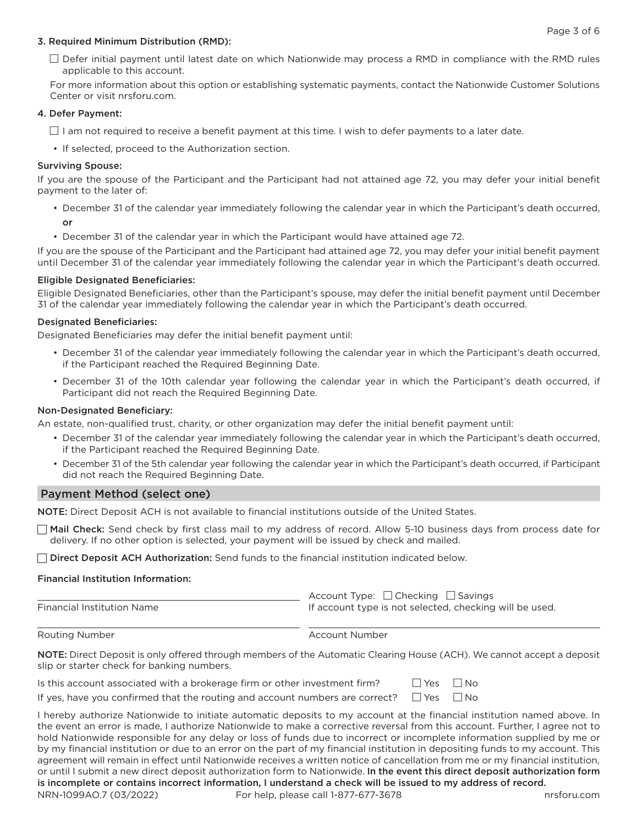#### 3. Required Minimum Distribution (RMD):

 $\Box$  Defer initial payment until latest date on which Nationwide may process a RMD in compliance with the RMD rules applicable to this account.

For more information about this option or establishing systematic payments, contact the Nationwide Customer Solutions Center or visit nrsforu.com.

#### 4. Defer Payment:

 $\Box$  I am not required to receive a benefit payment at this time. I wish to defer payments to a later date.

• If selected, proceed to the Authorization section.

#### Surviving Spouse:

If you are the spouse of the Participant and the Participant had not attained age 72, you may defer your initial benefit payment to the later of:

- December 31 of the calendar year immediately following the calendar year in which the Participant's death occurred, or
- December 31 of the calendar year in which the Participant would have attained age 72.

If you are the spouse of the Participant and the Participant had attained age 72, you may defer your initial benefit payment until December 31 of the calendar year immediately following the calendar year in which the Participant's death occurred.

#### Eligible Designated Beneficiaries:

Eligible Designated Beneficiaries, other than the Participant's spouse, may defer the initial benefit payment until December 31 of the calendar year immediately following the calendar year in which the Participant's death occurred.

#### Designated Beneficiaries:

Designated Beneficiaries may defer the initial benefit payment until:

- December 31 of the calendar year immediately following the calendar year in which the Participant's death occurred, if the Participant reached the Required Beginning Date.
- December 31 of the 10th calendar year following the calendar year in which the Participant's death occurred, if Participant did not reach the Required Beginning Date.

#### Non-Designated Beneficiary:

An estate, non-qualified trust, charity, or other organization may defer the initial benefit payment until:

- December 31 of the calendar year immediately following the calendar year in which the Participant's death occurred, if the Participant reached the Required Beginning Date.
- December 31 of the 5th calendar year following the calendar year in which the Participant's death occurred, if Participant did not reach the Required Beginning Date.

## Payment Method (select one)

NOTE: Direct Deposit ACH is not available to financial institutions outside of the United States.

 $\Box$  Mail Check: Send check by first class mail to my address of record. Allow 5-10 business days from process date for delivery. If no other option is selected, your payment will be issued by check and mailed.

 $\Box$  Direct Deposit ACH Authorization: Send funds to the financial institution indicated below.

#### Financial Institution Information:

| <b>Financial Institution Name</b> | Account Type: $\Box$ Checking $\Box$ Savings<br>If account type is not selected, checking will be used. |
|-----------------------------------|---------------------------------------------------------------------------------------------------------|
| Routing Number                    | Account Number                                                                                          |

NOTE: Direct Deposit is only offered through members of the Automatic Clearing House (ACH). We cannot accept a deposit slip or starter check for banking numbers.

| Is this account associated with a brokerage firm or other investment firm?                        | $\Box$ Yes $\Box$ No |  |
|---------------------------------------------------------------------------------------------------|----------------------|--|
| If yes, have you confirmed that the routing and account numbers are correct? $\Box$ Yes $\Box$ No |                      |  |

NRN-1099AO.7 (03/2022) For help, please call 1-877-677-3678 https://www.com I hereby authorize Nationwide to initiate automatic deposits to my account at the financial institution named above. In the event an error is made, I authorize Nationwide to make a corrective reversal from this account. Further, I agree not to hold Nationwide responsible for any delay or loss of funds due to incorrect or incomplete information supplied by me or by my financial institution or due to an error on the part of my financial institution in depositing funds to my account. This agreement will remain in effect until Nationwide receives a written notice of cancellation from me or my financial institution, or until I submit a new direct deposit authorization form to Nationwide. In the event this direct deposit authorization form is incomplete or contains incorrect information, I understand a check will be issued to my address of record.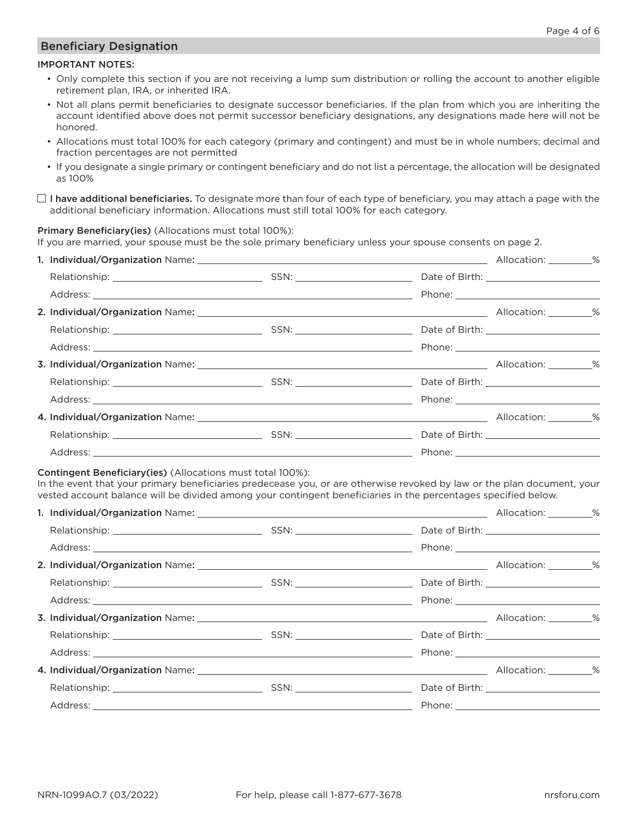## Beneficiary Designation

## IMPORTANT NOTES:

- Only complete this section if you are not receiving a lump sum distribution or rolling the account to another eligible retirement plan, IRA, or inherited IRA.
- Not all plans permit beneficiaries to designate successor beneficiaries. If the plan from which you are inheriting the account identified above does not permit successor beneficiary designations, any designations made here will not be honored.
- Allocations must total 100% for each category (primary and contingent) and must be in whole numbers; decimal and fraction percentages are not permitted
- If you designate a single primary or contingent beneficiary and do not list a percentage, the allocation will be designated as 100%
- $\Box$  I have additional beneficiaries. To designate more than four of each type of beneficiary, you may attach a page with the additional beneficiary information. Allocations must still total 100% for each category.

Primary Beneficiary(ies) (Allocations must total 100%):

If you are married, your spouse must be the sole primary beneficiary unless your spouse consents on page 2.

#### Contingent Beneficiary(ies) (Allocations must total 100%):

In the event that your primary beneficiaries predecease you, or are otherwise revoked by law or the plan document, your vested account balance will be divided among your contingent beneficiaries in the percentages specified below.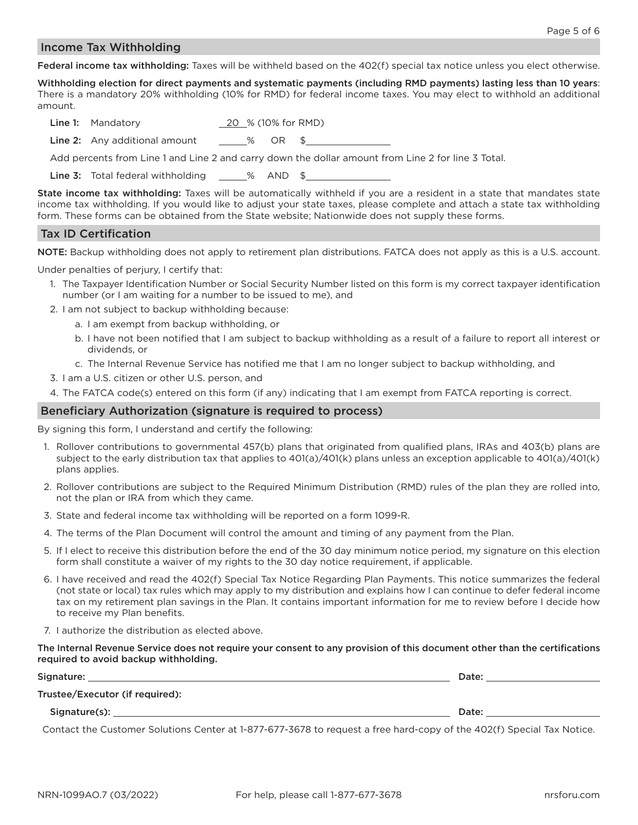### Income Tax Withholding

Federal income tax withholding: Taxes will be withheld based on the 402(f) special tax notice unless you elect otherwise.

Withholding election for direct payments and systematic payments (including RMD payments) lasting less than 10 years: There is a mandatory 20% withholding (10% for RMD) for federal income taxes. You may elect to withhold an additional amount.

| <b>Line 1:</b> Mandatory | 20 % (10% for RMD) |
|--------------------------|--------------------|
|--------------------------|--------------------|

Line 2: Any additional amount  $\%$  OR \$

Add percents from Line 1 and Line 2 and carry down the dollar amount from Line 2 for line 3 Total.

Line 3: Total federal withholding 26 AND \$

State income tax withholding: Taxes will be automatically withheld if you are a resident in a state that mandates state income tax withholding. If you would like to adjust your state taxes, please complete and attach a state tax withholding form. These forms can be obtained from the State website; Nationwide does not supply these forms.

## Tax ID Certification

NOTE: Backup withholding does not apply to retirement plan distributions. FATCA does not apply as this is a U.S. account.

Under penalties of perjury, I certify that:

- 1. The Taxpayer Identification Number or Social Security Number listed on this form is my correct taxpayer identification number (or I am waiting for a number to be issued to me), and
- 2. I am not subject to backup withholding because:
	- a. I am exempt from backup withholding, or
	- b. I have not been notified that I am subject to backup withholding as a result of a failure to report all interest or dividends, or
	- c. The Internal Revenue Service has notified me that I am no longer subject to backup withholding, and
- 3. I am a U.S. citizen or other U.S. person, and
- 4. The FATCA code(s) entered on this form (if any) indicating that I am exempt from FATCA reporting is correct.

### Beneficiary Authorization (signature is required to process)

By signing this form, I understand and certify the following:

- 1. Rollover contributions to governmental 457(b) plans that originated from qualified plans, IRAs and 403(b) plans are subject to the early distribution tax that applies to 401(a)/401(k) plans unless an exception applicable to 401(a)/401(k) plans applies.
- 2. Rollover contributions are subject to the Required Minimum Distribution (RMD) rules of the plan they are rolled into, not the plan or IRA from which they came.
- 3. State and federal income tax withholding will be reported on a form 1099-R.
- 4. The terms of the Plan Document will control the amount and timing of any payment from the Plan.
- 5. If I elect to receive this distribution before the end of the 30 day minimum notice period, my signature on this election form shall constitute a waiver of my rights to the 30 day notice requirement, if applicable.
- 6. I have received and read the 402(f) Special Tax Notice Regarding Plan Payments. This notice summarizes the federal (not state or local) tax rules which may apply to my distribution and explains how I can continue to defer federal income tax on my retirement plan savings in the Plan. It contains important information for me to review before I decide how to receive my Plan benefits.
- 7. I authorize the distribution as elected above.

The Internal Revenue Service does not require your consent to any provision of this document other than the certifications required to avoid backup withholding.

| Signature:                      | Date: |
|---------------------------------|-------|
| Trustee/Executor (if required): |       |
| Signature(s):                   | Date: |

Contact the Customer Solutions Center at 1-877-677-3678 to request a free hard-copy of the 402(f) Special Tax Notice.